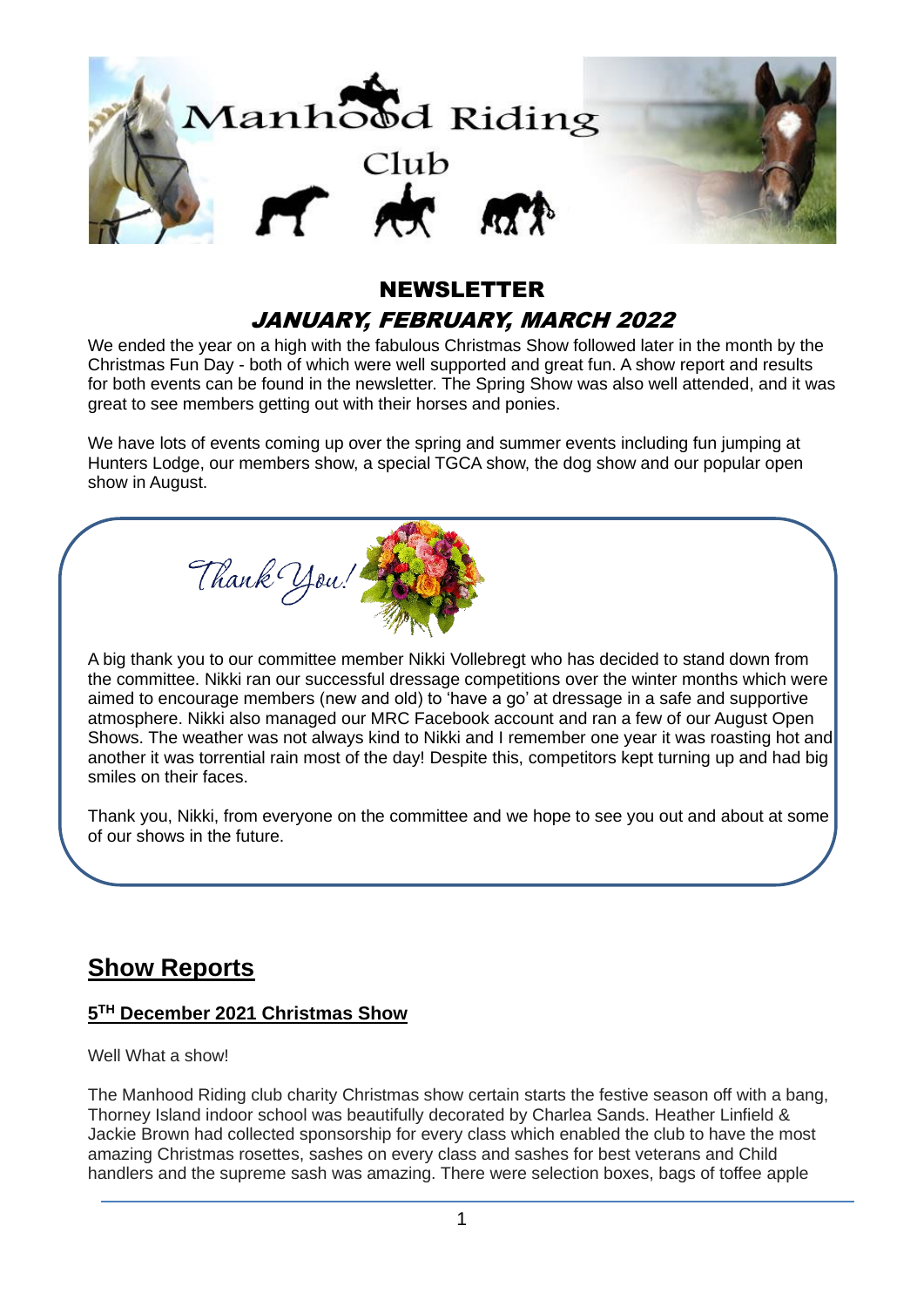

# NEWSLETTER JANUARY, FEBRUARY, MARCH 2022

We ended the year on a high with the fabulous Christmas Show followed later in the month by the Christmas Fun Day - both of which were well supported and great fun. A show report and results for both events can be found in the newsletter. The Spring Show was also well attended, and it was great to see members getting out with their horses and ponies.

We have lots of events coming up over the spring and summer events including fun jumping at Hunters Lodge, our members show, a special TGCA show, the dog show and our popular open show in August.



A big thank you to our committee member Nikki Vollebregt who has decided to stand down from the committee. Nikki ran our successful dressage competitions over the winter months which were aimed to encourage members (new and old) to 'have a go' at dressage in a safe and supportive atmosphere. Nikki also managed our MRC Facebook account and ran a few of our August Open Shows. The weather was not always kind to Nikki and I remember one year it was roasting hot and another it was torrential rain most of the day! Despite this, competitors kept turning up and had big smiles on their faces.

Thank you, Nikki, from everyone on the committee and we hope to see you out and about at some of our shows in the future.

## **Show Reports**

### **5 TH December 2021 Christmas Show**

#### Well What a show!

The Manhood Riding club charity Christmas show certain starts the festive season off with a bang, Thorney Island indoor school was beautifully decorated by Charlea Sands. Heather Linfield & Jackie Brown had collected sponsorship for every class which enabled the club to have the most amazing Christmas rosettes, sashes on every class and sashes for best veterans and Child handlers and the supreme sash was amazing. There were selection boxes, bags of toffee apple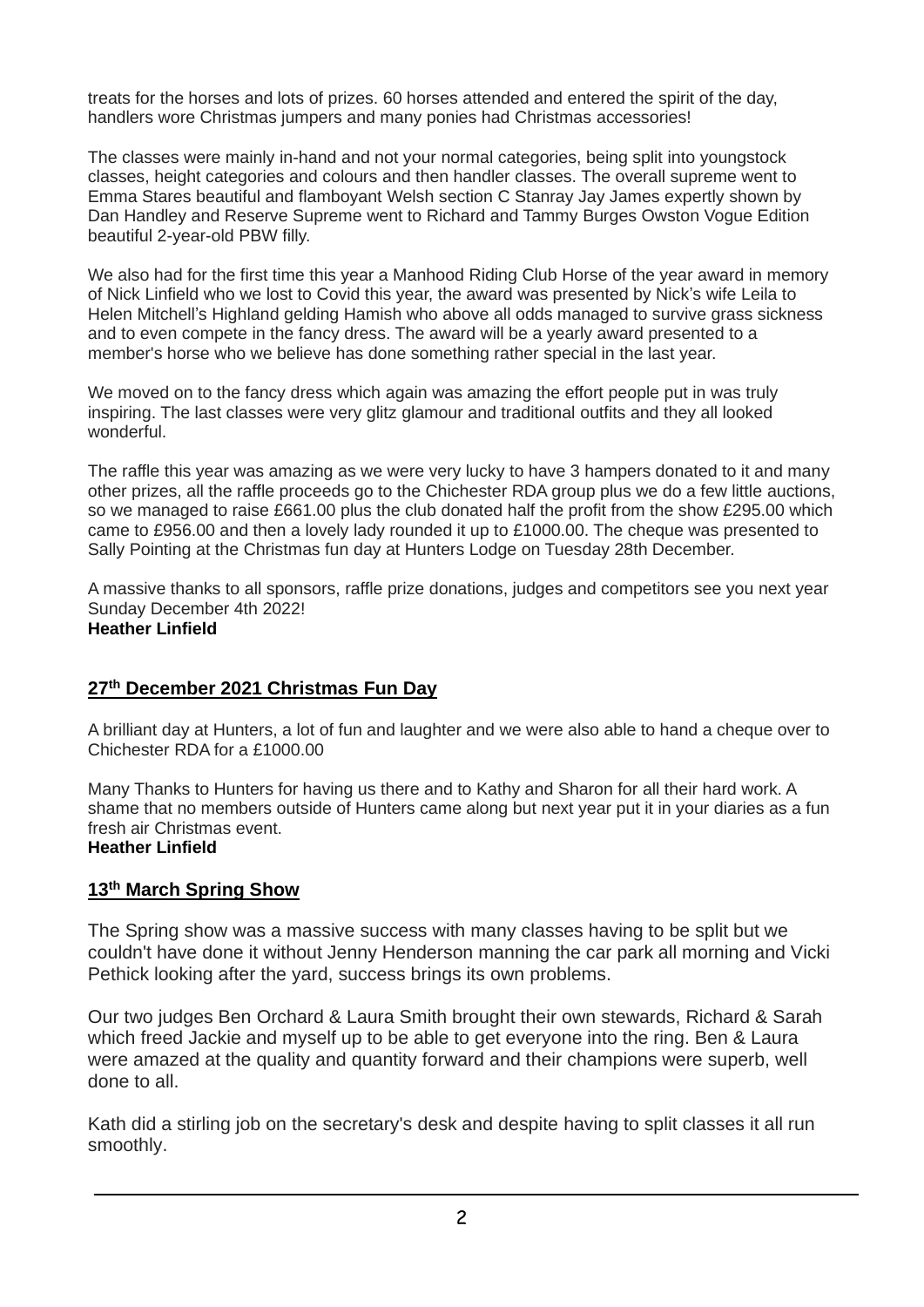treats for the horses and lots of prizes. 60 horses attended and entered the spirit of the day, handlers wore Christmas jumpers and many ponies had Christmas accessories!

The classes were mainly in-hand and not your normal categories, being split into youngstock classes, height categories and colours and then handler classes. The overall supreme went to Emma Stares beautiful and flamboyant Welsh section C Stanray Jay James expertly shown by Dan Handley and Reserve Supreme went to Richard and Tammy Burges Owston Vogue Edition beautiful 2-year-old PBW filly.

We also had for the first time this year a Manhood Riding Club Horse of the year award in memory of Nick Linfield who we lost to Covid this year, the award was presented by Nick's wife Leila to Helen Mitchell's Highland gelding Hamish who above all odds managed to survive grass sickness and to even compete in the fancy dress. The award will be a yearly award presented to a member's horse who we believe has done something rather special in the last year.

We moved on to the fancy dress which again was amazing the effort people put in was truly inspiring. The last classes were very glitz glamour and traditional outfits and they all looked wonderful.

The raffle this year was amazing as we were very lucky to have 3 hampers donated to it and many other prizes, all the raffle proceeds go to the Chichester RDA group plus we do a few little auctions, so we managed to raise £661.00 plus the club donated half the profit from the show £295.00 which came to £956.00 and then a lovely lady rounded it up to £1000.00. The cheque was presented to Sally Pointing at the Christmas fun day at Hunters Lodge on Tuesday 28th December.

A massive thanks to all sponsors, raffle prize donations, judges and competitors see you next year Sunday December 4th 2022! **Heather Linfield**

### **27th December 2021 Christmas Fun Day**

A brilliant day at Hunters, a lot of fun and laughter and we were also able to hand a cheque over to Chichester RDA for a £1000.00

Many Thanks to Hunters for having us there and to Kathy and Sharon for all their hard work. A shame that no members outside of Hunters came along but next year put it in your diaries as a fun fresh air Christmas event.

## **Heather Linfield**

### **13th March Spring Show**

The Spring show was a massive success with many classes having to be split but we couldn't have done it without Jenny Henderson manning the car park all morning and Vicki Pethick looking after the yard, success brings its own problems.

Our two judges Ben Orchard & Laura Smith brought their own stewards, Richard & Sarah which freed Jackie and myself up to be able to get everyone into the ring. Ben & Laura were amazed at the quality and quantity forward and their champions were superb, well done to all.

Kath did a stirling job on the secretary's desk and despite having to split classes it all run smoothly.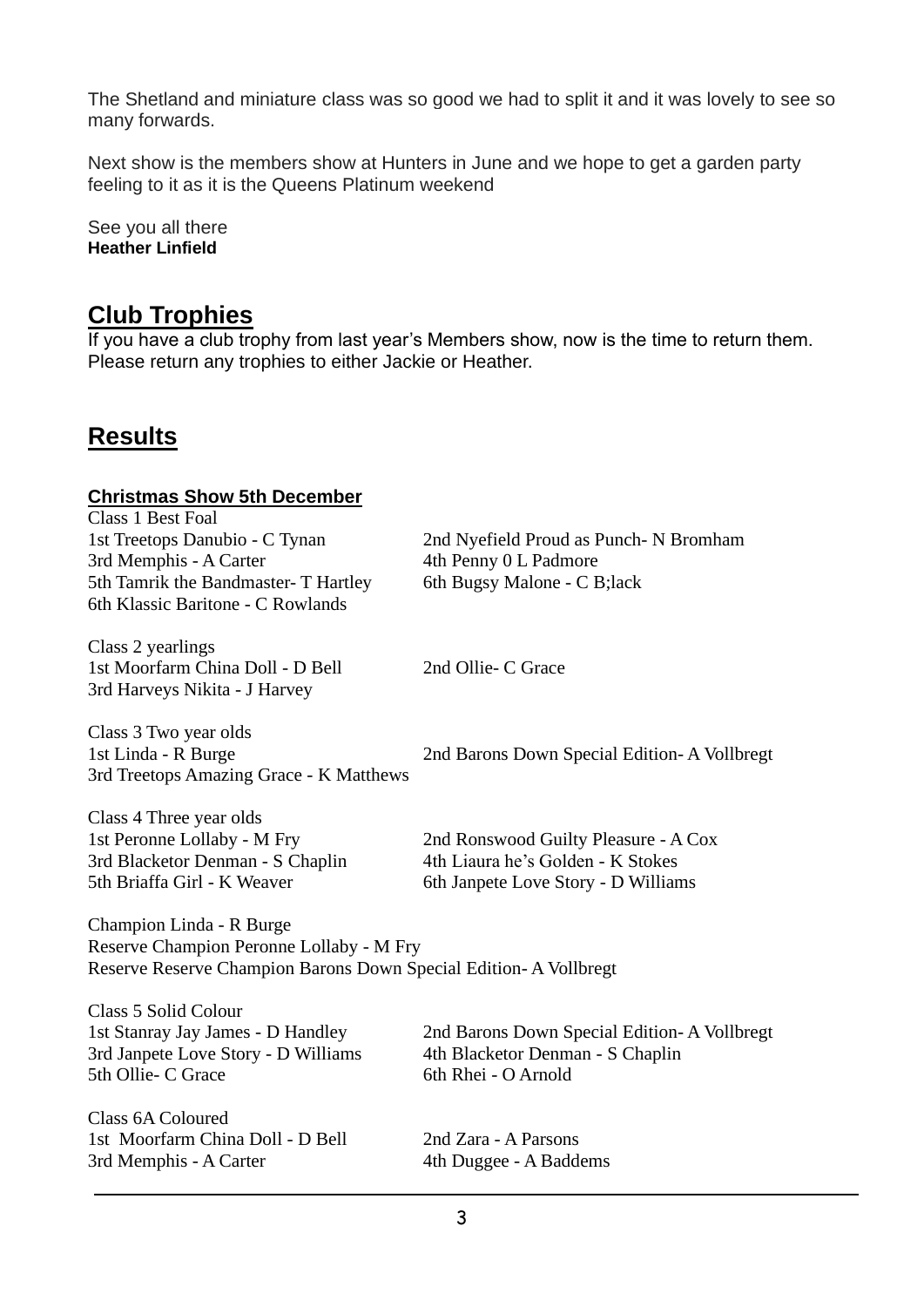The Shetland and miniature class was so good we had to split it and it was lovely to see so many forwards.

Next show is the members show at Hunters in June and we hope to get a garden party feeling to it as it is the Queens Platinum weekend

See you all there **Heather Linfield**

## **Club Trophies**

If you have a club trophy from last year's Members show, now is the time to return them. Please return any trophies to either Jackie or Heather.

## **Results**

#### **Christmas Show 5th December**

Class 1 Best Foal 3rd Memphis - A Carter 4th Penny 0 L Padmore 5th Tamrik the Bandmaster- T Hartley 6th Bugsy Malone - C B;lack 6th Klassic Baritone - C Rowlands

Class 2 yearlings 1st Moorfarm China Doll - D Bell 2nd Ollie- C Grace 3rd Harveys Nikita - J Harvey

1st Treetops Danubio - C Tynan 2nd Nyefield Proud as Punch- N Bromham

Class 3 Two year olds 1st Linda - R Burge 2nd Barons Down Special Edition- A Vollbregt 3rd Treetops Amazing Grace - K Matthews

1st Peronne Lollaby - M Fry 2nd Ronswood Guilty Pleasure - A Cox 3rd Blacketor Denman - S Chaplin 4th Liaura he's Golden - K Stokes

Class 4 Three year olds 5th Briaffa Girl - K Weaver 6th Janpete Love Story - D Williams

Champion Linda - R Burge Reserve Champion Peronne Lollaby - M Fry Reserve Reserve Champion Barons Down Special Edition- A Vollbregt

Class 5 Solid Colour 3rd Janpete Love Story - D Williams 4th Blacketor Denman - S Chaplin 5th Ollie- C Grace 6th Rhei - O Arnold

Class 6A Coloured 1st Moorfarm China Doll - D Bell 2nd Zara - A Parsons 3rd Memphis - A Carter 4th Duggee - A Baddems

1st Stanray Jay James - D Handley 2nd Barons Down Special Edition- A Vollbregt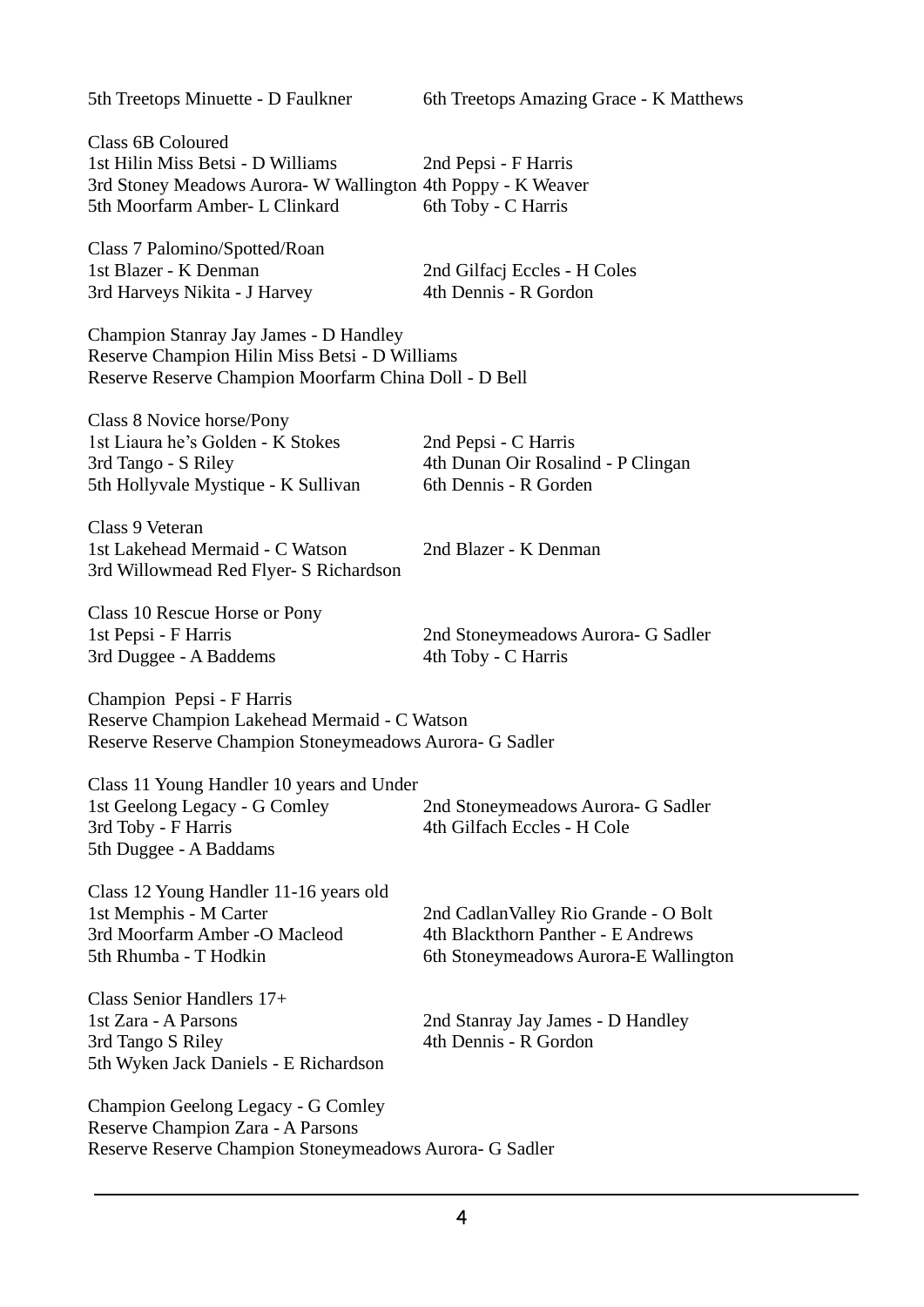5th Treetops Minuette - D Faulkner 6th Treetops Amazing Grace - K Matthews

Class 6B Coloured 1st Hilin Miss Betsi - D Williams 2nd Pepsi - F Harris 3rd Stoney Meadows Aurora- W Wallington 4th Poppy - K Weaver 5th Moorfarm Amber- L Clinkard 6th Toby - C Harris

Class 7 Palomino/Spotted/Roan 1st Blazer - K Denman 2nd Gilfacj Eccles - H Coles 3rd Harveys Nikita - J Harvey 4th Dennis - R Gordon

Champion Stanray Jay James - D Handley Reserve Champion Hilin Miss Betsi - D Williams Reserve Reserve Champion Moorfarm China Doll - D Bell

Class 8 Novice horse/Pony 1st Liaura he's Golden - K Stokes 2nd Pepsi - C Harris 3rd Tango - S Riley 4th Dunan Oir Rosalind - P Clingan 5th Hollyvale Mystique - K Sullivan 6th Dennis - R Gorden

Class 9 Veteran 1st Lakehead Mermaid - C Watson 2nd Blazer - K Denman 3rd Willowmead Red Flyer- S Richardson

Class 10 Rescue Horse or Pony 3rd Duggee - A Baddems 4th Toby - C Harris

1st Pepsi - F Harris 2nd Stoneymeadows Aurora- G Sadler

Champion Pepsi - F Harris Reserve Champion Lakehead Mermaid - C Watson Reserve Reserve Champion Stoneymeadows Aurora- G Sadler

Class 11 Young Handler 10 years and Under 1st Geelong Legacy - G Comley 2nd Stoneymeadows Aurora- G Sadler 3rd Toby - F Harris 4th Gilfach Eccles - H Cole 5th Duggee - A Baddams

Class 12 Young Handler 11-16 years old 1st Memphis - M Carter 2nd CadlanValley Rio Grande - O Bolt 3rd Moorfarm Amber -O Macleod 4th Blackthorn Panther - E Andrews

5th Rhumba - T Hodkin 6th Stoneymeadows Aurora-E Wallington

Class Senior Handlers 17+ 1st Zara - A Parsons 2nd Stanray Jay James - D Handley 3rd Tango S Riley 4th Dennis - R Gordon 5th Wyken Jack Daniels - E Richardson

Champion Geelong Legacy - G Comley Reserve Champion Zara - A Parsons Reserve Reserve Champion Stoneymeadows Aurora- G Sadler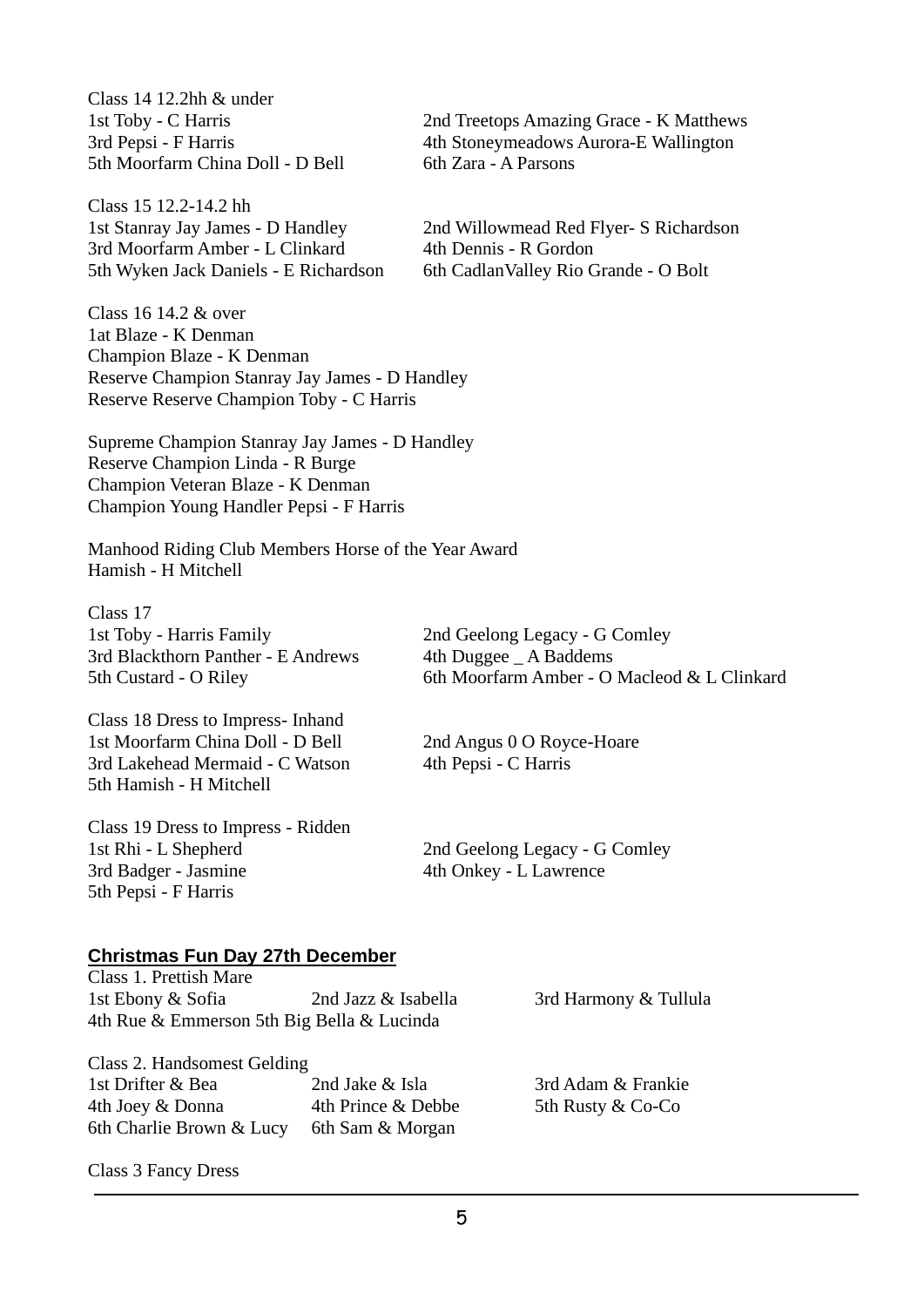Class 14 12.2hh & under 5th Moorfarm China Doll - D Bell 6th Zara - A Parsons

Class 15 12.2-14.2 hh 3rd Moorfarm Amber - L Clinkard 4th Dennis - R Gordon 5th Wyken Jack Daniels - E Richardson 6th Cadlan Valley Rio Grande - O Bolt

Class 16 14.2 & over 1at Blaze - K Denman Champion Blaze - K Denman Reserve Champion Stanray Jay James - D Handley Reserve Reserve Champion Toby - C Harris

Supreme Champion Stanray Jay James - D Handley Reserve Champion Linda - R Burge Champion Veteran Blaze - K Denman Champion Young Handler Pepsi - F Harris

Manhood Riding Club Members Horse of the Year Award Hamish - H Mitchell

Class 17 1st Toby - Harris Family 2nd Geelong Legacy - G Comley 3rd Blackthorn Panther - E Andrews 4th Duggee A Baddems

Class 18 Dress to Impress- Inhand 1st Moorfarm China Doll - D Bell 2nd Angus 0 O Royce-Hoare 3rd Lakehead Mermaid - C Watson 4th Pepsi - C Harris 5th Hamish - H Mitchell

5th Custard - O Riley 6th Moorfarm Amber - O Macleod & L Clinkard

Class 19 Dress to Impress - Ridden 1st Rhi - L Shepherd 2nd Geelong Legacy - G Comley 3rd Badger - Jasmine 4th Onkey - L Lawrence 5th Pepsi - F Harris

#### **Christmas Fun Day 27th December**

Class 1. Prettish Mare 1st Ebony & Sofia 2nd Jazz & Isabella 3rd Harmony & Tullula 4th Rue & Emmerson 5th Big Bella & Lucinda

Class 2. Handsomest Gelding 1st Drifter & Bea 2nd Jake & Isla 3rd Adam & Frankie 4th Joey & Donna 4th Prince & Debbe 5th Rusty & Co-Co 6th Charlie Brown & Lucy 6th Sam & Morgan

Class 3 Fancy Dress

1st Stanray Jay James - D Handley 2nd Willowmead Red Flyer- S Richardson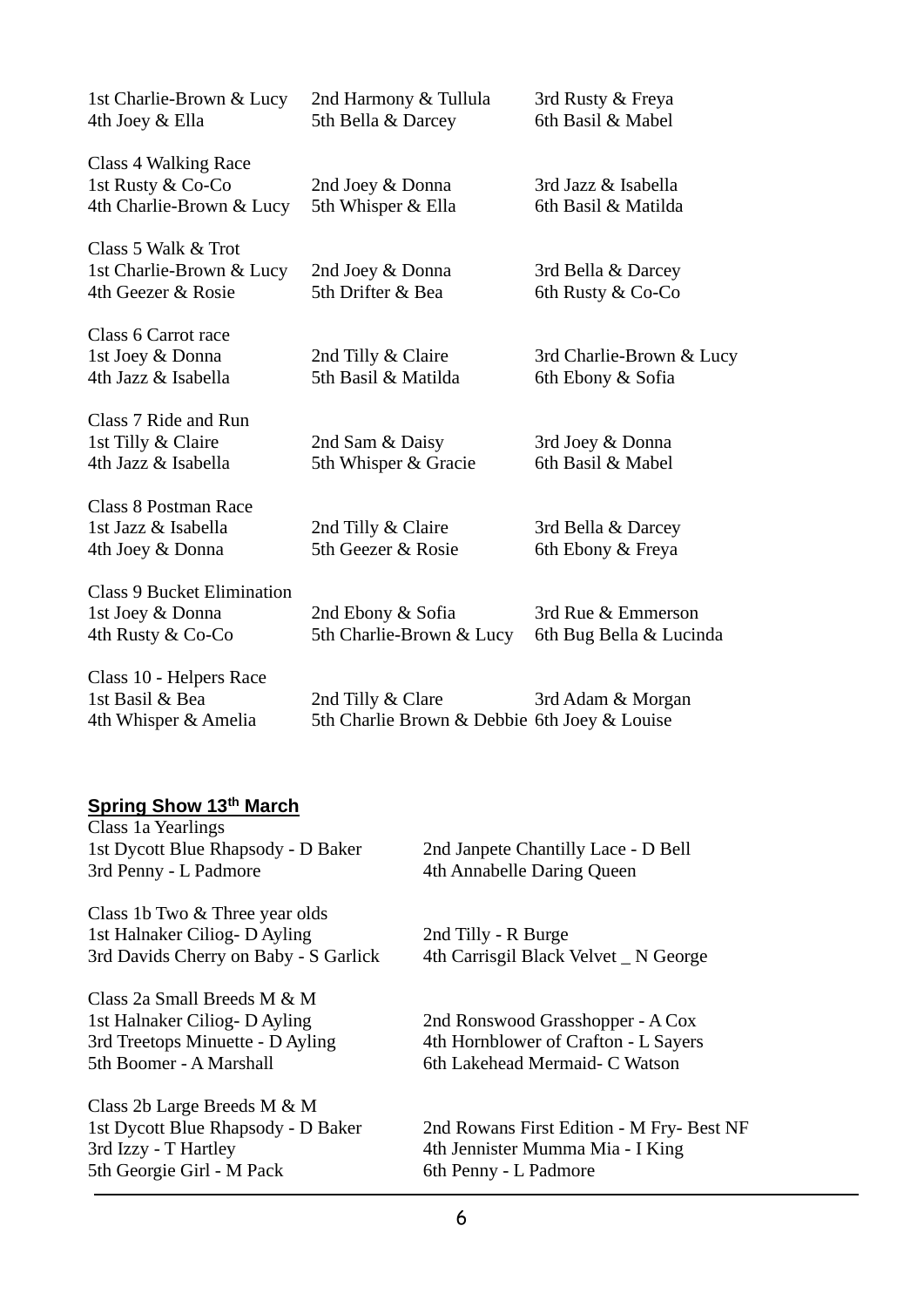| 1st Charlie-Brown & Lucy<br>4th Joey & Ella                                | 2nd Harmony & Tullula<br>5th Bella & Darcey                       | 3rd Rusty & Freya<br>6th Basil & Mabel        |
|----------------------------------------------------------------------------|-------------------------------------------------------------------|-----------------------------------------------|
| Class 4 Walking Race<br>1st Rusty & Co-Co<br>4th Charlie-Brown & Lucy      | 2nd Joey & Donna<br>5th Whisper & Ella                            | 3rd Jazz & Isabella<br>6th Basil & Matilda    |
| Class 5 Walk & Trot<br>1st Charlie-Brown & Lucy<br>4th Geezer & Rosie      | 2nd Joey & Donna<br>5th Drifter & Bea                             | 3rd Bella & Darcey<br>6th Rusty & Co-Co       |
| Class 6 Carrot race<br>1st Joey & Donna<br>4th Jazz & Isabella             | 2nd Tilly & Claire<br>5th Basil & Matilda                         | 3rd Charlie-Brown & Lucy<br>6th Ebony & Sofia |
| Class 7 Ride and Run<br>1st Tilly & Claire<br>4th Jazz & Isabella          | 2nd Sam & Daisy<br>5th Whisper & Gracie                           | 3rd Joey & Donna<br>6th Basil & Mabel         |
| <b>Class 8 Postman Race</b><br>1st Jazz & Isabella<br>4th Joey & Donna     | 2nd Tilly & Claire<br>5th Geezer & Rosie                          | 3rd Bella & Darcey<br>6th Ebony & Freya       |
| <b>Class 9 Bucket Elimination</b><br>1st Joey & Donna<br>4th Rusty & Co-Co | 2nd Ebony & Sofia<br>5th Charlie-Brown & Lucy                     | 3rd Rue & Emmerson<br>6th Bug Bella & Lucinda |
| Class 10 - Helpers Race<br>1st Basil & Bea<br>4th Whisper & Amelia         | 2nd Tilly & Clare<br>5th Charlie Brown & Debbie 6th Joey & Louise | 3rd Adam & Morgan                             |

#### **Spring Show 13th March**

| Class 1a Yearlings                    |                                           |
|---------------------------------------|-------------------------------------------|
| 1st Dycott Blue Rhapsody - D Baker    | 2nd Janpete Chantilly Lace - D Bell       |
| 3rd Penny - L Padmore                 | 4th Annabelle Daring Queen                |
| Class 1b Two & Three year olds        |                                           |
| 1st Halnaker Ciliog-D Ayling          | 2nd Tilly - R Burge                       |
| 3rd Davids Cherry on Baby - S Garlick | 4th Carrisgil Black Velvet _ N George     |
| Class 2a Small Breeds M & M           |                                           |
| 1st Halnaker Ciliog-D Ayling          | 2nd Ronswood Grasshopper - A Cox          |
| 3rd Treetops Minuette - D Ayling      | 4th Hornblower of Crafton - L Sayers      |
| 5th Boomer - A Marshall               | 6th Lakehead Mermaid- C Watson            |
| Class 2b Large Breeds M & M           |                                           |
| 1st Dycott Blue Rhapsody - D Baker    | 2nd Rowans First Edition - M Fry- Best NF |
| 3rd Izzy - T Hartley                  | 4th Jennister Mumma Mia - I King          |
| 5th Georgie Girl - M Pack             | 6th Penny - L Padmore                     |
|                                       |                                           |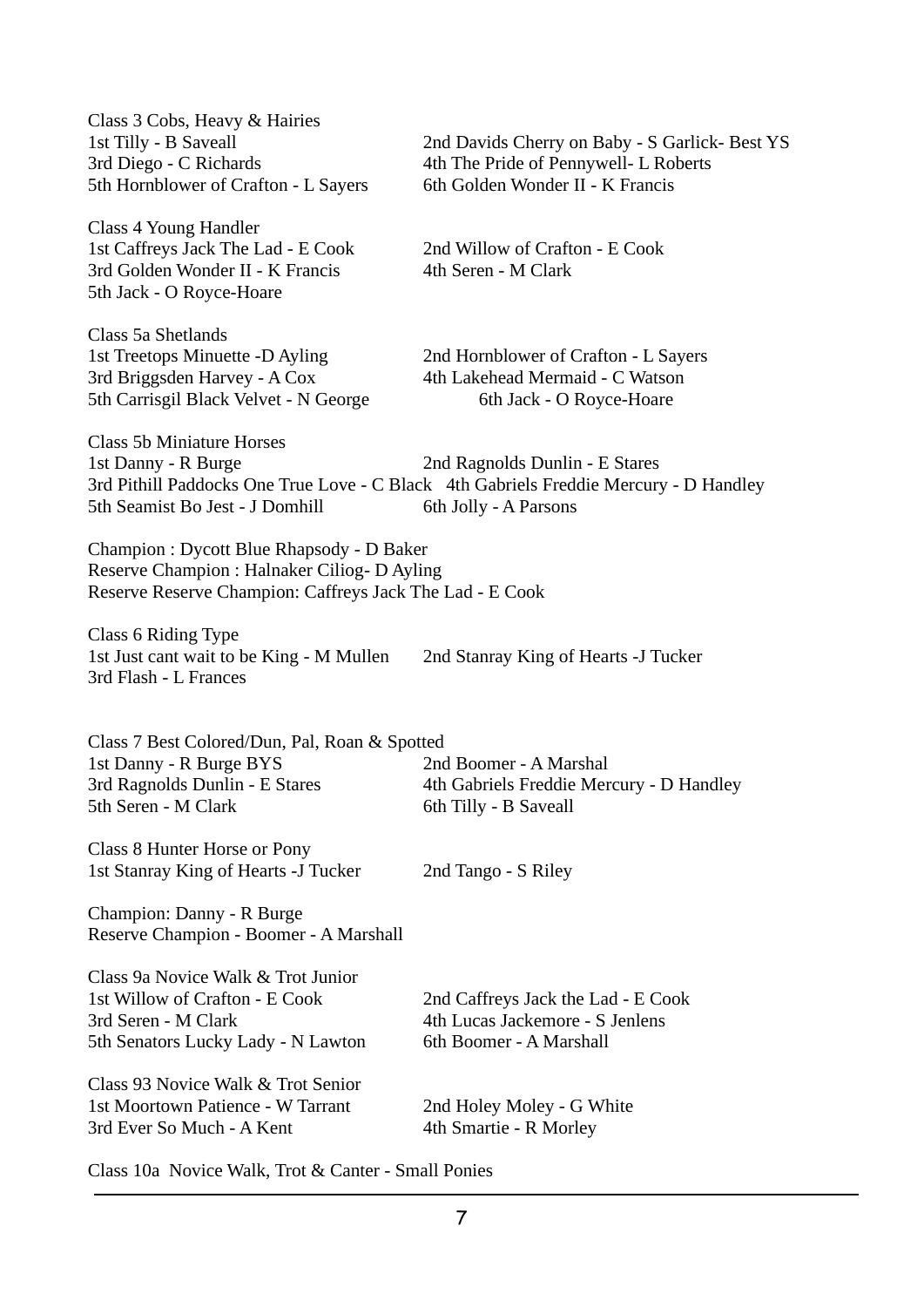| 2nd Davids Cherry on Baby - S Garlick- Best YS<br>4th The Pride of Pennywell- L Roberts<br>6th Golden Wonder II - K Francis                           |
|-------------------------------------------------------------------------------------------------------------------------------------------------------|
| 2nd Willow of Crafton - E Cook<br>4th Seren - M Clark                                                                                                 |
| 2nd Hornblower of Crafton - L Sayers<br>4th Lakehead Mermaid - C Watson<br>6th Jack - O Royce-Hoare                                                   |
| 2nd Ragnolds Dunlin - E Stares<br>3rd Pithill Paddocks One True Love - C Black 4th Gabriels Freddie Mercury - D Handley<br>6th Jolly - A Parsons      |
| Champion : Dycott Blue Rhapsody - D Baker<br>Reserve Champion : Halnaker Ciliog- D Ayling<br>Reserve Reserve Champion: Caffreys Jack The Lad - E Cook |
| 2nd Stanray King of Hearts - J Tucker                                                                                                                 |
| Class 7 Best Colored/Dun, Pal, Roan & Spotted<br>2nd Boomer - A Marshal<br>4th Gabriels Freddie Mercury - D Handley<br>6th Tilly - B Saveall          |
| 2nd Tango - S Riley                                                                                                                                   |
|                                                                                                                                                       |
| 2nd Caffreys Jack the Lad - E Cook<br>4th Lucas Jackemore - S Jenlens<br>6th Boomer - A Marshall                                                      |
| 2nd Holey Moley - G White<br>4th Smartie - R Morley                                                                                                   |
|                                                                                                                                                       |

Class 10a Novice Walk, Trot & Canter - Small Ponies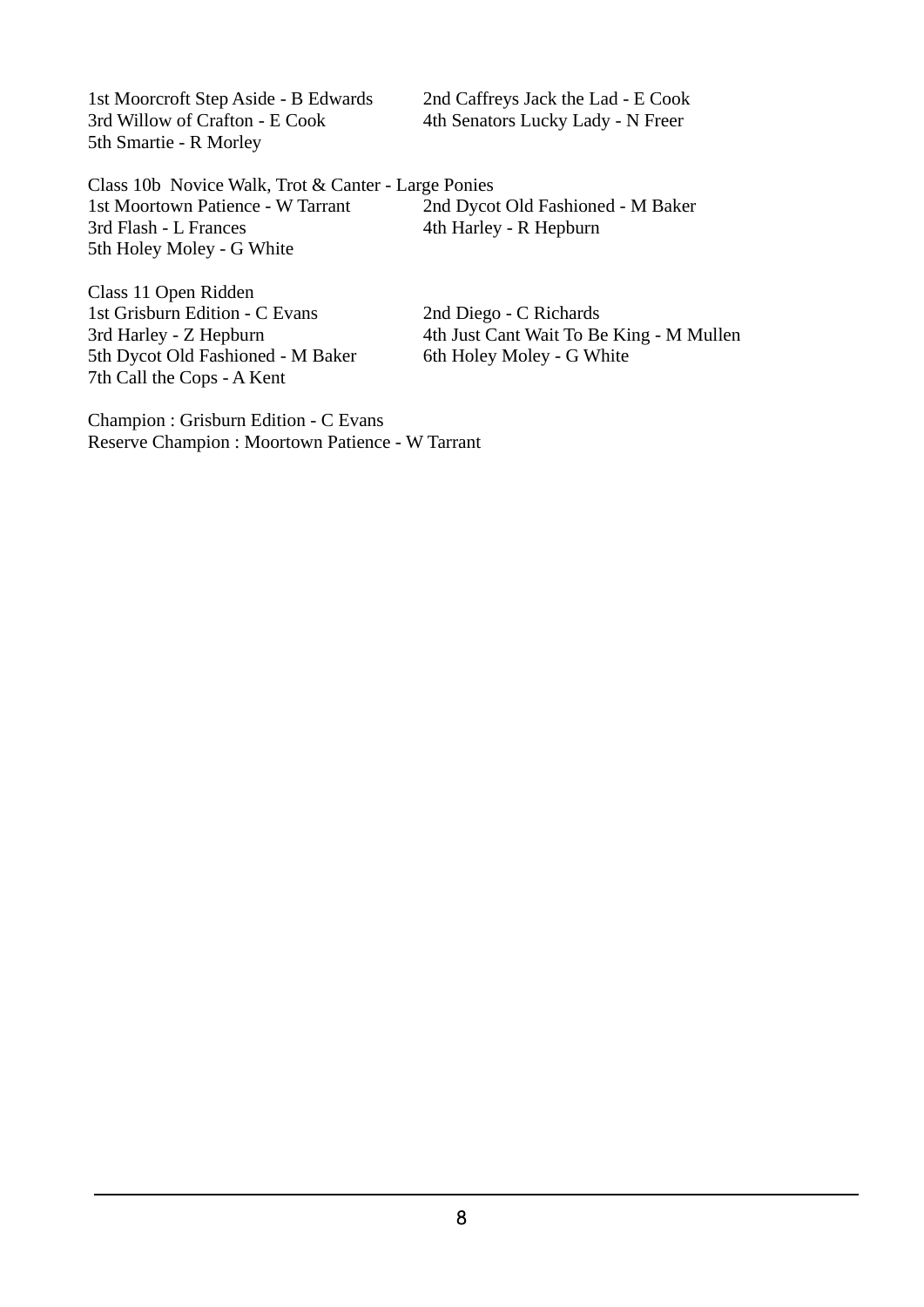1st Moorcroft Step Aside - B Edwards 2nd Caffreys Jack the Lad - E Cook 3rd Willow of Crafton - E Cook 4th Senators Lucky Lady - N Freer 5th Smartie - R Morley

Class 10b Novice Walk, Trot & Canter - Large Ponies 1st Moortown Patience - W Tarrant 2nd Dycot Old Fashioned - M Baker 3rd Flash - L Frances 4th Harley - R Hepburn 5th Holey Moley - G White

Class 11 Open Ridden 1st Grisburn Edition - C Evans 2nd Diego - C Richards 5th Dycot Old Fashioned - M Baker 7th Call the Cops - A Kent

3rd Harley - Z Hepburn 4th Just Cant Wait To Be King - M Mullen<br>5th Dycot Old Fashioned - M Baker 6th Holey Moley - G White

Champion : Grisburn Edition - C Evans Reserve Champion : Moortown Patience - W Tarrant